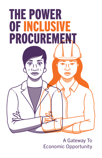

A Gateway To Economic Opportunity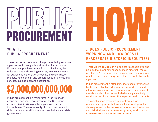## PUBLIC<br>PUBLIC PUBLIC HOW

#### WHAT IS PUBLIC PROCUREMENT?

PUBLIC PROCUREMENT is the process that government agencies use to buy goods and services for public use. Procurement purchases range from routine items, like office supplies and cleaning services, to major contracts for equipment, material, engineering, and construction projects. Agencies can also procure for other professional services, such as legal and accounting.

### \$2,000,000,000,000

Public procurement is a major force in the American economy. Each year, governments in the U.S. spend about \$2 TRILLION to purchase goods and services for public use. The vast majority of public procurement dollars — about two-thirds — are spent by local and state governments.

#### ... DOES PUBLIC PROCUREMENT WORK NOW AND HOW DOES IT EXACERBATE HISTORIC INEQUITIES?

**PUBLIC PROCUREMENT** is subject to specific laws and policies that cover how agencies make different types of purchases. At the same time, many procurement rules and practices are discretionary and within the control of public agencies.

Public procurement is often misunderstood or overlooked by the general public, who may not know where to find information about procurement processes. Procurement awards are also often concentrated among a relatively small number of businesses that repeatedly win contracts.

This combination of factors frequently results in procurement systems that work to the advantage of the status quo, and to the **DISADVANTAGE** of new businesses and historically underrepresented groups, most notably **COMMUNITIES OF COLOR AND WOMEN.**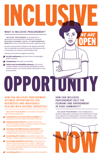#### WHAT IS INCLUSIVE PROCUREMENT?

**INCLUSIVE PROCUREMENT** is an approach to government purchasing that's designed to maximize EQUITABLE ECONOMIC, SOCIAL, and ENVIRONMENTAL **BENEFITS** for the communities that public agencies serve.

Inclusive procurement is based on the deeply held belief that an equitable and vibrant economy that advances ALL communities can improve overall quality of life.

#### HOW CAN INCLUSIVE PROCUREMENT OPTIMIZE OPPORTUNITIES FOR BUSINESSES AND INDIVIDUALS DEALING WITH HISTORIC INEQUITIES?

Inclusive procurement programs prioritize:

**INCLUSIVE PROCUREMENT** can establish new paths to opportunity and growth by:

- pre-bid conferences and other forms of meaningful public outreach
- **transparency** and public accessibility
- **K** metrics and accountability measures, such as job creation statistics and tracking participation by small, women-owned, and minority-owned businesses in local procurements

# PORTU

INCLUSIVE

**INCLUSIVE PROCUREMENT** works strategically by directly linking public spending to the achievement of major local, regional, and state goals for economic vitality, social

WE ARE

- expanding the use of procurement strategies that prioritize overall value rather than lowest total cost
- taking proactive measures to expand community outreach through periodic meetings on agency business and upcoming procurement plans
- **K** increasing meaningful business opportunities for historically underrepresented groups through mentorprotégé programs and prime contracting programs
- $\frac{1}{\sqrt{2}}$  incentivizing the creation and retention of good jobs through innovative policies like the U.S. Employment Plan
- encouraging spending in local areas. City leaders from diverse communities across the country – large metro areas, medium-sized cities, and smaller municipalities – are already making great strides on inclusive procurement, with quantifiable results.

correcting policies that unnecessarily restrict competition

#### HOW CAN INCLUSIVE PROCUREMENT HELP THE ECONOMY AND ENVIRONMENT IN YOUR COMMUNITY?

progress, diversity and inclusion, and environmental quality.